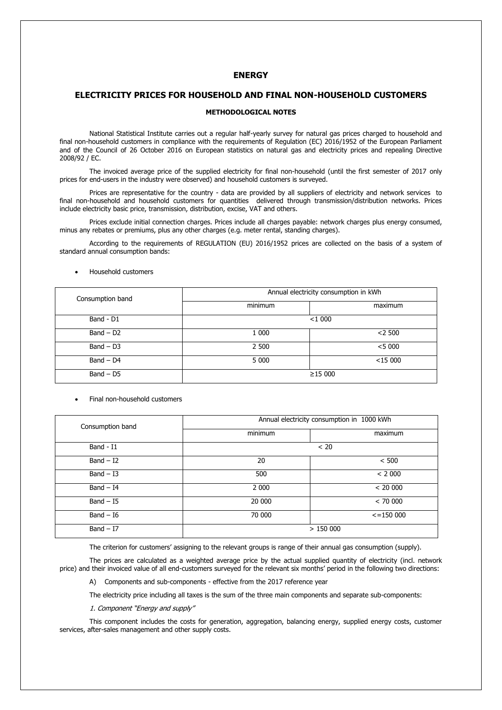# **ENERGY**

### **ELECTRICITY PRICES FOR HOUSEHOLD AND FINAL NON-HOUSEHOLD CUSTOMERS**

# **METHODOLOGICAL NOTES**

National Statistical Institute carries out a regular half-yearly survey for natural gas prices charged to household and final non-household customers in compliance with the requirements of Regulation (EC) 2016/1952 of the European Parliament and of the Council of 26 October 2016 on European statistics on natural gas and electricity prices and repealing Directive 2008/92 / EC.

The invoiced average price of the supplied electricity for final non-household (until the first semester of 2017 only prices for end-users in the industry were observed) and household customers is surveyed.

Prices are representative for the country - data are provided by all suppliers of electricity and network services to final non-household and household customers for quantities delivered through transmission/distribution networks. Prices include electricity basic price, transmission, distribution, excise, VAT and others.

Prices exclude initial connection charges. Prices include all charges payable: network charges plus energy consumed, minus any rebates or premiums, plus any other charges (e.g. meter rental, standing charges).

According to the requirements of REGULATION (EU) 2016/1952 prices are collected on the basis of a system of standard annual consumption bands:

| Consumption band | Annual electricity consumption in kWh |            |  |
|------------------|---------------------------------------|------------|--|
|                  | minimum                               | maximum    |  |
| Band - D1        | $<$ 1 000                             |            |  |
| $Band - D2$      | 1 000                                 | $<$ 2 500  |  |
| $Band - D3$      | 2 500                                 | < 5000     |  |
| $Band - D4$      | 5 0 0 0                               | $<$ 15 000 |  |
| $Band - D5$      | ≥15000                                |            |  |

### Household customers

#### Final non-household customers

| Consumption band | Annual electricity consumption in 1000 kWh |                 |
|------------------|--------------------------------------------|-----------------|
|                  | minimum                                    | maximum         |
| Band - $I1$      | < 20                                       |                 |
| $Band - I2$      | 20                                         | < 500           |
| $Band - I3$      | 500                                        | < 2000          |
| $Band - I4$      | 2 0 0 0                                    | < 20000         |
| $Band - 15$      | 20 000                                     | < 70000         |
| $Band - 16$      | 70 000                                     | $\le$ = 150 000 |
| $Band - I7$      | >150000                                    |                 |

The criterion for customers' assigning to the relevant groups is range of their annual gas consumption (supply).

The prices are calculated as a weighted average price by the actual supplied quantity of electricity (incl. network price) and their invoiced value of all end-customers surveyed for the relevant six months' period in the following two directions:

A) Components and sub-components - effective from the 2017 reference year

The electricity price including all taxes is the sum of the three main components and separate sub-components:

## 1. Component "Energy and supply"

This component includes the costs for generation, aggregation, balancing energy, supplied energy costs, customer services, after-sales management and other supply costs.